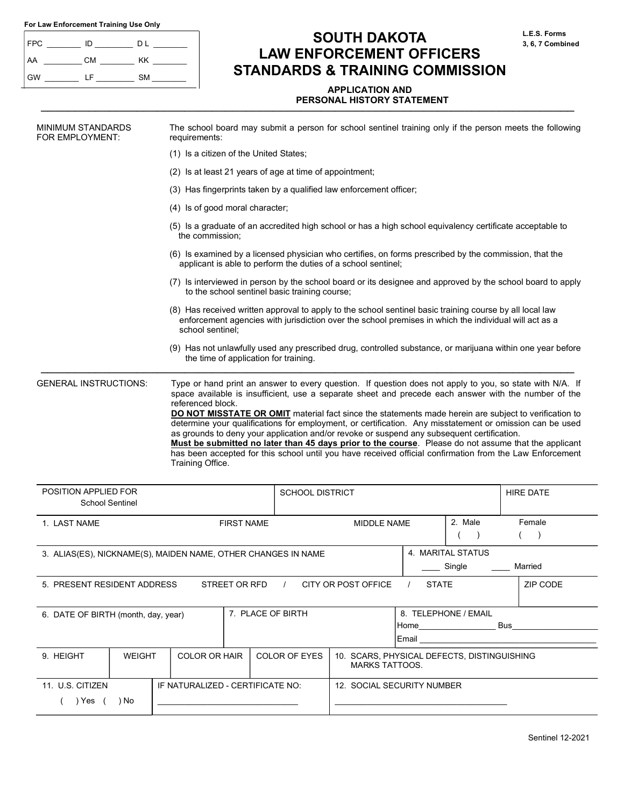| For Law Enforcement Training Use Only |  |  |  |
|---------------------------------------|--|--|--|
|---------------------------------------|--|--|--|

| FPC | ID        | D L       |
|-----|-----------|-----------|
| AA  | <b>CM</b> | KK        |
| GW  | ΙF        | <b>SM</b> |

# SOUTH DAKOTA LAW ENFORCEMENT OFFICERS STANDARDS & TRAINING COMMISSION

## APPLICATION AND PERSONAL HISTORY STATEMENT PRESONAL HISTORY STATEMENT

| <b>MINIMUM STANDARDS</b><br>FOR EMPLOYMENT: |                        | requirements:                                                 |                                                                                                                                                                         |                                                         | The school board may submit a person for school sentinel training only if the person meets the following                                                                                                                                                                                                                                                                                                                                                                                                                                                                                                                                    |                        |                             |                                                                                                                                                                                                                                      |  |
|---------------------------------------------|------------------------|---------------------------------------------------------------|-------------------------------------------------------------------------------------------------------------------------------------------------------------------------|---------------------------------------------------------|---------------------------------------------------------------------------------------------------------------------------------------------------------------------------------------------------------------------------------------------------------------------------------------------------------------------------------------------------------------------------------------------------------------------------------------------------------------------------------------------------------------------------------------------------------------------------------------------------------------------------------------------|------------------------|-----------------------------|--------------------------------------------------------------------------------------------------------------------------------------------------------------------------------------------------------------------------------------|--|
|                                             |                        | (1) Is a citizen of the United States;                        |                                                                                                                                                                         |                                                         |                                                                                                                                                                                                                                                                                                                                                                                                                                                                                                                                                                                                                                             |                        |                             |                                                                                                                                                                                                                                      |  |
|                                             |                        |                                                               |                                                                                                                                                                         | (2) Is at least 21 years of age at time of appointment; |                                                                                                                                                                                                                                                                                                                                                                                                                                                                                                                                                                                                                                             |                        |                             |                                                                                                                                                                                                                                      |  |
|                                             |                        |                                                               |                                                                                                                                                                         |                                                         | (3) Has fingerprints taken by a qualified law enforcement officer;                                                                                                                                                                                                                                                                                                                                                                                                                                                                                                                                                                          |                        |                             |                                                                                                                                                                                                                                      |  |
|                                             |                        | (4) Is of good moral character;                               |                                                                                                                                                                         |                                                         |                                                                                                                                                                                                                                                                                                                                                                                                                                                                                                                                                                                                                                             |                        |                             |                                                                                                                                                                                                                                      |  |
|                                             |                        | the commission;                                               |                                                                                                                                                                         |                                                         | (5) Is a graduate of an accredited high school or has a high school equivalency certificate acceptable to                                                                                                                                                                                                                                                                                                                                                                                                                                                                                                                                   |                        |                             |                                                                                                                                                                                                                                      |  |
|                                             |                        |                                                               | (6) Is examined by a licensed physician who certifies, on forms prescribed by the commission, that the<br>applicant is able to perform the duties of a school sentinel; |                                                         |                                                                                                                                                                                                                                                                                                                                                                                                                                                                                                                                                                                                                                             |                        |                             |                                                                                                                                                                                                                                      |  |
|                                             |                        |                                                               | (7) Is interviewed in person by the school board or its designee and approved by the school board to apply<br>to the school sentinel basic training course;             |                                                         |                                                                                                                                                                                                                                                                                                                                                                                                                                                                                                                                                                                                                                             |                        |                             |                                                                                                                                                                                                                                      |  |
|                                             |                        | school sentinel;                                              |                                                                                                                                                                         |                                                         | (8) Has received written approval to apply to the school sentinel basic training course by all local law<br>enforcement agencies with jurisdiction over the school premises in which the individual will act as a                                                                                                                                                                                                                                                                                                                                                                                                                           |                        |                             |                                                                                                                                                                                                                                      |  |
|                                             |                        |                                                               | the time of application for training.                                                                                                                                   |                                                         | (9) Has not unlawfully used any prescribed drug, controlled substance, or marijuana within one year before                                                                                                                                                                                                                                                                                                                                                                                                                                                                                                                                  |                        |                             |                                                                                                                                                                                                                                      |  |
|                                             |                        | referenced block.<br>Training Office.                         |                                                                                                                                                                         |                                                         | space available is insufficient, use a separate sheet and precede each answer with the number of the<br>DO NOT MISSTATE OR OMIT material fact since the statements made herein are subject to verification to<br>determine your qualifications for employment, or certification. Any misstatement or omission can be used<br>as grounds to deny your application and/or revoke or suspend any subsequent certification.<br>Must be submitted no later than 45 days prior to the course. Please do not assume that the applicant<br>has been accepted for this school until you have received official confirmation from the Law Enforcement |                        |                             |                                                                                                                                                                                                                                      |  |
| POSITION APPLIED FOR                        | <b>School Sentinel</b> |                                                               |                                                                                                                                                                         | <b>SCHOOL DISTRICT</b>                                  |                                                                                                                                                                                                                                                                                                                                                                                                                                                                                                                                                                                                                                             |                        |                             | <b>HIRE DATE</b>                                                                                                                                                                                                                     |  |
| 1. LAST NAME                                |                        |                                                               | <b>FIRST NAME</b>                                                                                                                                                       |                                                         | <b>MIDDLE NAME</b>                                                                                                                                                                                                                                                                                                                                                                                                                                                                                                                                                                                                                          |                        | 2. Male                     | Female                                                                                                                                                                                                                               |  |
|                                             |                        | 3. ALIAS(ES), NICKNAME(S), MAIDEN NAME, OTHER CHANGES IN NAME |                                                                                                                                                                         |                                                         |                                                                                                                                                                                                                                                                                                                                                                                                                                                                                                                                                                                                                                             |                        | 4. MARITAL STATUS<br>Single | Married                                                                                                                                                                                                                              |  |
| 5. PRESENT RESIDENT ADDRESS                 |                        |                                                               | STREET OR RFD /                                                                                                                                                         |                                                         | CITY OR POST OFFICE /                                                                                                                                                                                                                                                                                                                                                                                                                                                                                                                                                                                                                       | <b>STATE</b>           |                             | ZIP CODE                                                                                                                                                                                                                             |  |
| 6. DATE OF BIRTH (month, day, year)         |                        |                                                               | 7. PLACE OF BIRTH                                                                                                                                                       |                                                         |                                                                                                                                                                                                                                                                                                                                                                                                                                                                                                                                                                                                                                             | Email <b>Executive</b> | 8. TELEPHONE / EMAIL        | <b>Business and the contract of the contract of the contract of the contract of the contract of the contract of the contract of the contract of the contract of the contract of the contract of the contract of the contract of </b> |  |
| 9. HEIGHT                                   | <b>WEIGHT</b>          | <b>COLOR OR HAIR</b>                                          |                                                                                                                                                                         | <b>COLOR OF EYES</b>                                    | 10. SCARS, PHYSICAL DEFECTS, DISTINGUISHING<br><b>MARKS TATTOOS.</b>                                                                                                                                                                                                                                                                                                                                                                                                                                                                                                                                                                        |                        |                             |                                                                                                                                                                                                                                      |  |
| 11. U.S. CITIZEN                            |                        | IF NATURALIZED - CERTIFICATE NO:                              |                                                                                                                                                                         |                                                         | 12. SOCIAL SECURITY NUMBER                                                                                                                                                                                                                                                                                                                                                                                                                                                                                                                                                                                                                  |                        |                             |                                                                                                                                                                                                                                      |  |
| $( )$ Yes $($                               | ) No                   |                                                               |                                                                                                                                                                         |                                                         |                                                                                                                                                                                                                                                                                                                                                                                                                                                                                                                                                                                                                                             |                        |                             |                                                                                                                                                                                                                                      |  |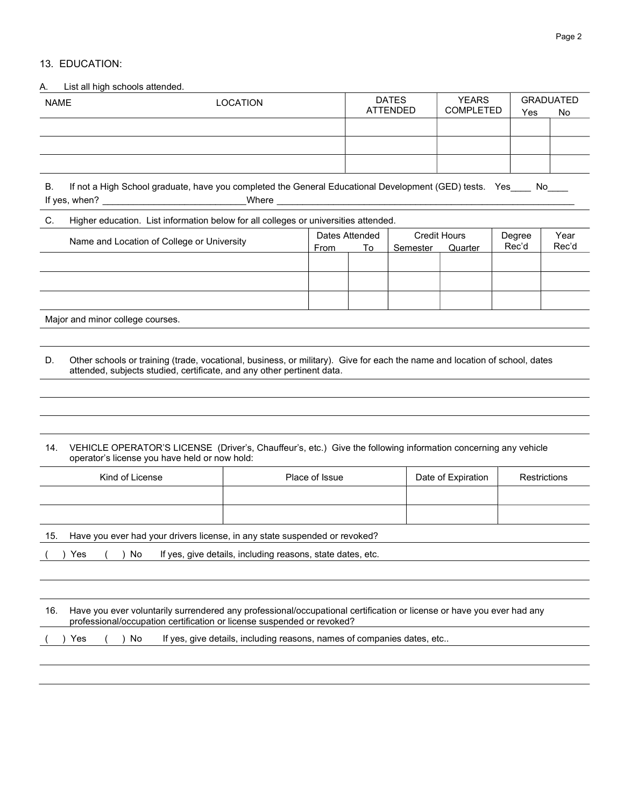#### Page 2

#### 13. EDUCATION:

A. List all high schools attended.

| <b>NAME</b> | LOCATION | <b>DATES</b><br>ATTENDED | <b>YEARS</b><br><b>COMPLETED</b> | Yes | <b>GRADUATED</b><br>No |
|-------------|----------|--------------------------|----------------------------------|-----|------------------------|
|             |          |                          |                                  |     |                        |
|             |          |                          |                                  |     |                        |
|             |          |                          |                                  |     |                        |
|             |          |                          |                                  |     |                        |

B. If not a High School graduate, have you completed the General Educational Development (GED) tests. Yes \_\_\_ No If yes, when? \_\_\_\_\_\_\_\_\_\_\_\_\_\_\_\_\_\_\_\_\_\_\_\_\_\_\_\_ Where \_\_\_\_\_\_\_\_\_\_\_\_\_\_\_\_\_\_\_\_\_\_\_\_\_\_\_\_\_\_\_\_\_\_\_\_\_\_\_\_\_\_\_\_\_\_\_\_\_\_\_\_\_\_\_\_\_\_

#### C. Higher education. List information below for all colleges or universities attended.

| Name and Location of College or University | Dates Attended<br>From | To | <b>Credit Hours</b><br>Semester | Quarter | Degree<br>Rec'd | Year<br>Rec'd |
|--------------------------------------------|------------------------|----|---------------------------------|---------|-----------------|---------------|
|                                            |                        |    |                                 |         |                 |               |
|                                            |                        |    |                                 |         |                 |               |
|                                            |                        |    |                                 |         |                 |               |
|                                            |                        |    |                                 |         |                 |               |

Major and minor college courses.

D. Other schools or training (trade, vocational, business, or military). Give for each the name and location of school, dates attended, subjects studied, certificate, and any other pertinent data.

#### 14. VEHICLE OPERATOR'S LICENSE (Driver's, Chauffeur's, etc.) Give the following information concerning any vehicle operator's license you have held or now hold:

| Kind of License | Place of Issue | Date of Expiration | Restrictions |
|-----------------|----------------|--------------------|--------------|
|                 |                |                    |              |
|                 |                |                    |              |

15. Have you ever had your drivers license, in any state suspended or revoked?

|  | Yes | No. |  |  |  |  | If yes, give details, including reasons, state dates, etc. |
|--|-----|-----|--|--|--|--|------------------------------------------------------------|
|--|-----|-----|--|--|--|--|------------------------------------------------------------|

| 16. Have you ever voluntarily surrendered any professional/occupational certification or license or have you ever had any<br>professional/occupation certification or license suspended or revoked? |
|-----------------------------------------------------------------------------------------------------------------------------------------------------------------------------------------------------|
|                                                                                                                                                                                                     |

( ) Yes ( ) No If yes, give details, including reasons, names of companies dates, etc..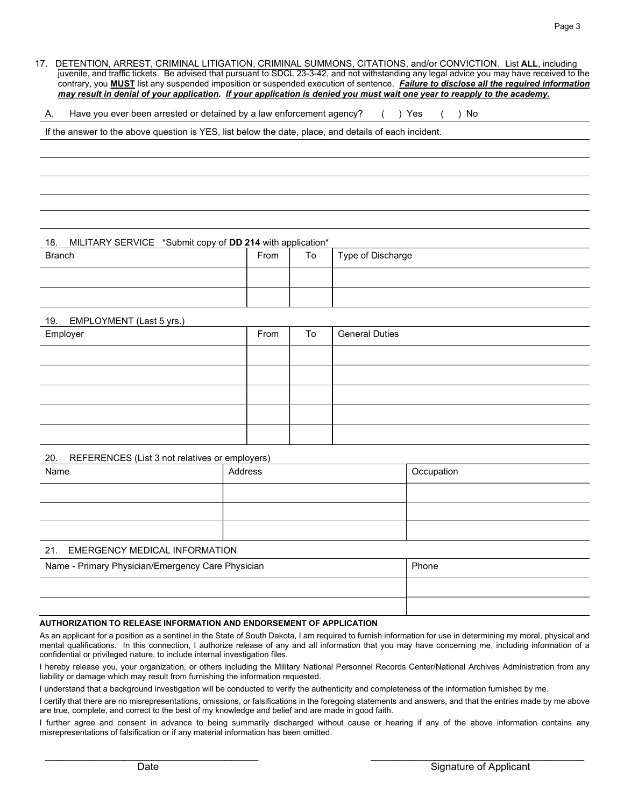17. DETENTION, ARREST, CRIMINAL LITIGATION, CRIMINAL SUMMONS, CITATIONS, and/or CONVICTION. List ALL, including juvenile, and traffic tickets. Be advised that pursuant to SDCL 23-3-42, and not withstanding any legal advice you may have received to the contrary, you **MUST** list any suspended imposition or suspended execution of sentence. Failure to disclose all the required information may result in denial of your application. If your application is denied you must wait one year to reapply to the academy.

A. Have you ever been arrested or detained by a law enforcement agency? () Yes () No

If the answer to the above question is YES, list below the date, place, and details of each incident.

#### 18. MILITARY SERVICE \*Submit copy of DD 214 with application\*

| <b>Branch</b> | From | To | Type of Discharge |
|---------------|------|----|-------------------|
|               |      |    |                   |
|               |      |    |                   |

#### 19. EMPLOYMENT (Last 5 yrs.)

| Employer | From | To | <b>General Duties</b> |
|----------|------|----|-----------------------|
|          |      |    |                       |
|          |      |    |                       |
|          |      |    |                       |
|          |      |    |                       |
|          |      |    |                       |

#### 20. REFERENCES (List 3 not relatives or employers)

| Name | Address | Occupation |
|------|---------|------------|
|      |         |            |
|      |         |            |
|      |         |            |

#### 21. EMERGENCY MEDICAL INFORMATION

| Name - Primary Physician/Emergency Care Physician | Phone |
|---------------------------------------------------|-------|
|                                                   |       |
|                                                   |       |

#### AUTHORIZATION TO RELEASE INFORMATION AND ENDORSEMENT OF APPLICATION

As an applicant for a position as a sentinel in the State of South Dakota, I am required to furnish information for use in determining my moral, physical and mental qualifications. In this connection, I authorize release of any and all information that you may have concerning me, including information of a confidential or privileged nature, to include internal investigation files.

I hereby release you, your organization, or others including the Military National Personnel Records Center/National Archives Administration from any liability or damage which may result from furnishing the information requested.

I understand that a background investigation will be conducted to verify the authenticity and completeness of the information furnished by me.

I certify that there are no misrepresentations, omissions, or falsifications in the foregoing statements and answers, and that the entries made by me above are true, complete, and correct to the best of my knowledge and belief and are made in good faith.

I further agree and consent in advance to being summarily discharged without cause or hearing if any of the above information contains any misrepresentations of falsification or if any material information has been omitted.

\_\_\_\_\_\_\_\_\_\_\_\_\_\_\_\_\_\_\_\_\_\_\_\_\_\_\_\_\_\_\_\_\_\_\_\_\_\_ \_\_\_\_\_\_\_\_\_\_\_\_\_\_\_\_\_\_\_\_\_\_\_\_\_\_\_\_\_\_\_\_\_\_\_\_\_\_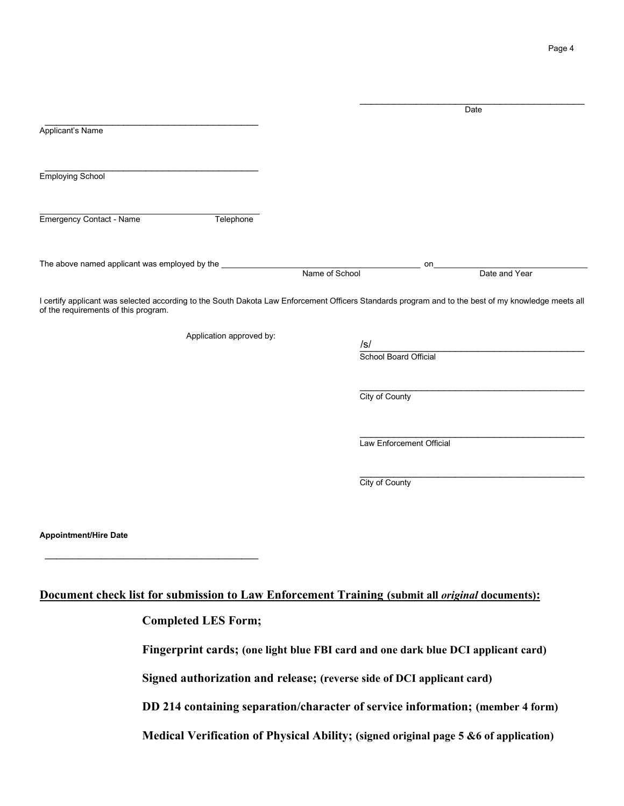Page 4

|                                                                                                        |                          |                                                                        | Date                                                                                                                                                |
|--------------------------------------------------------------------------------------------------------|--------------------------|------------------------------------------------------------------------|-----------------------------------------------------------------------------------------------------------------------------------------------------|
| Applicant's Name                                                                                       |                          |                                                                        |                                                                                                                                                     |
|                                                                                                        |                          |                                                                        |                                                                                                                                                     |
| <b>Employing School</b>                                                                                |                          |                                                                        |                                                                                                                                                     |
|                                                                                                        |                          |                                                                        |                                                                                                                                                     |
| <b>Emergency Contact - Name</b>                                                                        | Telephone                |                                                                        |                                                                                                                                                     |
| The above named applicant was employed by the                                                          |                          |                                                                        | on                                                                                                                                                  |
|                                                                                                        |                          | Name of School                                                         | Date and Year                                                                                                                                       |
| of the requirements of this program.                                                                   | Application approved by: |                                                                        | I certify applicant was selected according to the South Dakota Law Enforcement Officers Standards program and to the best of my knowledge meets all |
|                                                                                                        |                          |                                                                        |                                                                                                                                                     |
|                                                                                                        |                          | School Board Official                                                  |                                                                                                                                                     |
|                                                                                                        |                          | City of County                                                         |                                                                                                                                                     |
|                                                                                                        |                          |                                                                        |                                                                                                                                                     |
|                                                                                                        |                          | Law Enforcement Official                                               |                                                                                                                                                     |
|                                                                                                        |                          | City of County                                                         |                                                                                                                                                     |
|                                                                                                        |                          |                                                                        |                                                                                                                                                     |
| <b>Appointment/Hire Date</b>                                                                           |                          |                                                                        |                                                                                                                                                     |
|                                                                                                        |                          |                                                                        |                                                                                                                                                     |
|                                                                                                        |                          |                                                                        |                                                                                                                                                     |
| Document check list for submission to Law Enforcement Training (submit all <i>original</i> documents): |                          |                                                                        |                                                                                                                                                     |
| <b>Completed LES Form;</b>                                                                             |                          |                                                                        |                                                                                                                                                     |
|                                                                                                        |                          |                                                                        | Fingerprint cards; (one light blue FBI card and one dark blue DCI applicant card)                                                                   |
|                                                                                                        |                          | Signed authorization and release; (reverse side of DCI applicant card) |                                                                                                                                                     |

DD 214 containing separation/character of service information; (member 4 form)

Medical Verification of Physical Ability; (signed original page 5 &6 of application)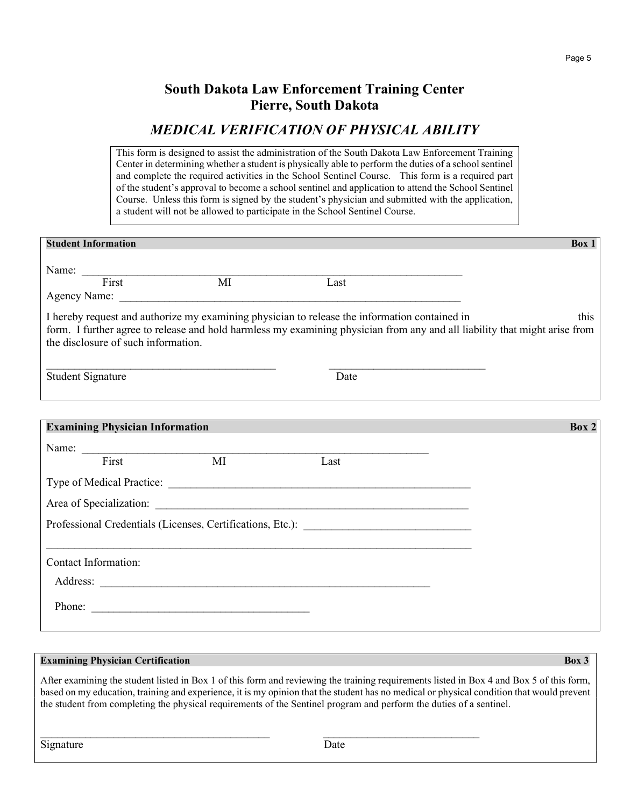## South Dakota Law Enforcement Training Center Pierre, South Dakota

## MEDICAL VERIFICATION OF PHYSICAL ABILITY

This form is designed to assist the administration of the South Dakota Law Enforcement Training Center in determining whether a student is physically able to perform the duties of a school sentinel and complete the required activities in the School Sentinel Course. This form is a required part of the student's approval to become a school sentinel and application to attend the School Sentinel Course. Unless this form is signed by the student's physician and submitted with the application, a student will not be allowed to participate in the School Sentinel Course.

|                          | <b>Student Information</b>             |                  |                                                                                               | Box 1                                                                                                                              |
|--------------------------|----------------------------------------|------------------|-----------------------------------------------------------------------------------------------|------------------------------------------------------------------------------------------------------------------------------------|
|                          |                                        | Name: First MI   | Last                                                                                          |                                                                                                                                    |
|                          | the disclosure of such information.    |                  | I hereby request and authorize my examining physician to release the information contained in | this<br>form. I further agree to release and hold harmless my examining physician from any and all liability that might arise from |
| <b>Student Signature</b> |                                        |                  | Date                                                                                          |                                                                                                                                    |
|                          |                                        |                  |                                                                                               |                                                                                                                                    |
|                          | <b>Examining Physician Information</b> |                  |                                                                                               | Box 2                                                                                                                              |
|                          |                                        | Name: First MI I |                                                                                               |                                                                                                                                    |
|                          |                                        |                  | Last                                                                                          |                                                                                                                                    |
|                          |                                        |                  | Type of Medical Practice:                                                                     |                                                                                                                                    |
|                          |                                        |                  |                                                                                               |                                                                                                                                    |
|                          |                                        |                  | Professional Credentials (Licenses, Certifications, Etc.): ______________________             |                                                                                                                                    |
|                          | Contact Information:                   |                  |                                                                                               |                                                                                                                                    |
|                          |                                        |                  |                                                                                               |                                                                                                                                    |
|                          |                                        |                  |                                                                                               |                                                                                                                                    |

### **Examining Physician Certification** Box 3

After examining the student listed in Box 1 of this form and reviewing the training requirements listed in Box 4 and Box 5 of this form, based on my education, training and experience, it is my opinion that the student has no medical or physical condition that would prevent the student from completing the physical requirements of the Sentinel program and perform the duties of a sentinel.

 $\mathcal{L}_\text{max} = \mathcal{L}_\text{max} = \mathcal{L}_\text{max} = \mathcal{L}_\text{max} = \mathcal{L}_\text{max} = \mathcal{L}_\text{max} = \mathcal{L}_\text{max} = \mathcal{L}_\text{max} = \mathcal{L}_\text{max} = \mathcal{L}_\text{max} = \mathcal{L}_\text{max} = \mathcal{L}_\text{max} = \mathcal{L}_\text{max} = \mathcal{L}_\text{max} = \mathcal{L}_\text{max} = \mathcal{L}_\text{max} = \mathcal{L}_\text{max} = \mathcal{L}_\text{max} = \mathcal{$ 

Signature Date